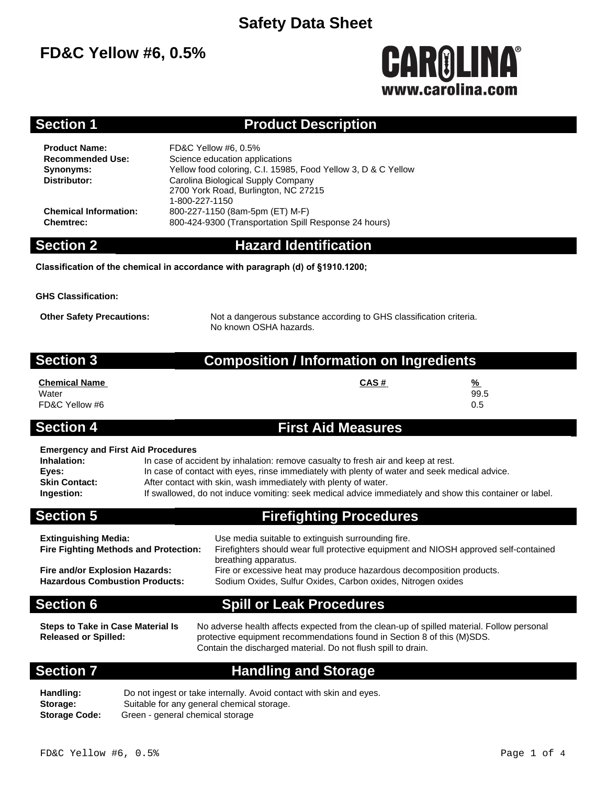# **FD&C Yellow #6, 0.5%**

# **CAROLINA** www.carolina.com

### **Section 1 Product Description**

**Product Name:** FD&C Yellow #6, 0.5% **Recommended Use:** Science education applications **Synonyms:** Yellow food coloring, C.I. 15985, Food Yellow 3, D & C Yellow **Distributor:** Carolina Biological Supply Company 2700 York Road, Burlington, NC 27215 1-800-227-1150 **Chemical Information:** 800-227-1150 (8am-5pm (ET) M-F) **Chemtrec:** 800-424-9300 (Transportation Spill Response 24 hours)

**Section 2 Hazard Identification**

**Classification of the chemical in accordance with paragraph (d) of §1910.1200;**

**GHS Classification:**

**Other Safety Precautions:** Not a dangerous substance according to GHS classification criteria. No known OSHA hazards.

| <b>Section 3</b>                                                                                        | <b>Composition / Information on Ingredients</b>                                                                                                                                                                                                                                                                                                                  |  |  |  |  |
|---------------------------------------------------------------------------------------------------------|------------------------------------------------------------------------------------------------------------------------------------------------------------------------------------------------------------------------------------------------------------------------------------------------------------------------------------------------------------------|--|--|--|--|
| <b>Chemical Name</b><br>Water<br>FD&C Yellow #6                                                         | CAS#<br>%<br>99.5<br>0.5                                                                                                                                                                                                                                                                                                                                         |  |  |  |  |
| <b>Section 4</b>                                                                                        | <b>First Aid Measures</b>                                                                                                                                                                                                                                                                                                                                        |  |  |  |  |
| <b>Emergency and First Aid Procedures</b><br>Inhalation:<br>Eyes:<br><b>Skin Contact:</b><br>Ingestion: | In case of accident by inhalation: remove casualty to fresh air and keep at rest.<br>In case of contact with eyes, rinse immediately with plenty of water and seek medical advice.<br>After contact with skin, wash immediately with plenty of water.<br>If swallowed, do not induce vomiting: seek medical advice immediately and show this container or label. |  |  |  |  |
| <b>Section 5</b>                                                                                        | <b>Firefighting Procedures</b>                                                                                                                                                                                                                                                                                                                                   |  |  |  |  |

| <b>Extinguishing Media:</b><br><b>Fire Fighting Methods and Protection:</b> | Use media suitable to extinguish surrounding fire.<br>Firefighters should wear full protective equipment and NIOSH approved self-contained<br>breathing apparatus. |
|-----------------------------------------------------------------------------|--------------------------------------------------------------------------------------------------------------------------------------------------------------------|
| Fire and/or Explosion Hazards:                                              | Fire or excessive heat may produce hazardous decomposition products.                                                                                               |
| <b>Hazardous Combustion Products:</b>                                       | Sodium Oxides, Sulfur Oxides, Carbon oxides, Nitrogen oxides                                                                                                       |

### **Section 6 Spill or Leak Procedures**

**Steps to Take in Case Material Is Released or Spilled:**

No adverse health affects expected from the clean-up of spilled material. Follow personal protective equipment recommendations found in Section 8 of this (M)SDS. Contain the discharged material. Do not flush spill to drain.

### **Section 7 Handling and Storage**

Handling: Do not ingest or take internally. Avoid contact with skin and eyes. **Storage:** Suitable for any general chemical storage. **Storage Code:** Green - general chemical storage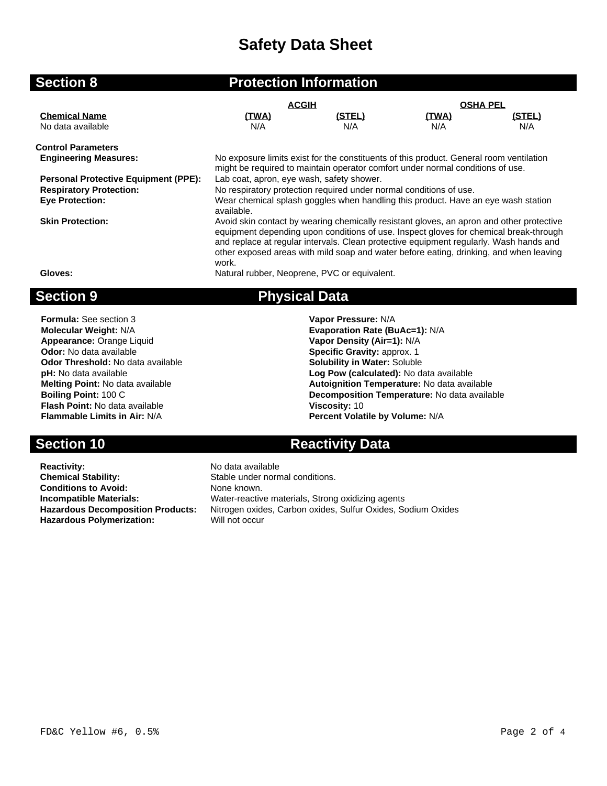| <b>Section 8</b>                            |                                                                                                                                                                                                                                                                                                                                                                                | <b>Protection Information</b> |                 |        |  |
|---------------------------------------------|--------------------------------------------------------------------------------------------------------------------------------------------------------------------------------------------------------------------------------------------------------------------------------------------------------------------------------------------------------------------------------|-------------------------------|-----------------|--------|--|
|                                             | <b>ACGIH</b>                                                                                                                                                                                                                                                                                                                                                                   |                               | <b>OSHA PEL</b> |        |  |
| <b>Chemical Name</b>                        | <u>(TWA)</u>                                                                                                                                                                                                                                                                                                                                                                   | (STEL)                        | <u>(TWA)</u>    | (STEL) |  |
| No data available                           | N/A                                                                                                                                                                                                                                                                                                                                                                            | N/A                           | N/A             | N/A    |  |
| <b>Control Parameters</b>                   |                                                                                                                                                                                                                                                                                                                                                                                |                               |                 |        |  |
| <b>Engineering Measures:</b>                | No exposure limits exist for the constituents of this product. General room ventilation<br>might be required to maintain operator comfort under normal conditions of use.                                                                                                                                                                                                      |                               |                 |        |  |
| <b>Personal Protective Equipment (PPE):</b> | Lab coat, apron, eye wash, safety shower.                                                                                                                                                                                                                                                                                                                                      |                               |                 |        |  |
| <b>Respiratory Protection:</b>              | No respiratory protection required under normal conditions of use.                                                                                                                                                                                                                                                                                                             |                               |                 |        |  |
| <b>Eye Protection:</b>                      | Wear chemical splash goggles when handling this product. Have an eye wash station<br>available.                                                                                                                                                                                                                                                                                |                               |                 |        |  |
| <b>Skin Protection:</b>                     | Avoid skin contact by wearing chemically resistant gloves, an apron and other protective<br>equipment depending upon conditions of use. Inspect gloves for chemical break-through<br>and replace at regular intervals. Clean protective equipment regularly. Wash hands and<br>other exposed areas with mild soap and water before eating, drinking, and when leaving<br>work. |                               |                 |        |  |
| Gloves:                                     | Natural rubber, Neoprene, PVC or equivalent.                                                                                                                                                                                                                                                                                                                                   |                               |                 |        |  |
| <b>Section 9</b>                            |                                                                                                                                                                                                                                                                                                                                                                                | <b>Physical Data</b>          |                 |        |  |
| <b>Formula:</b> See section 3               |                                                                                                                                                                                                                                                                                                                                                                                | Vapor Pressure: N/A           |                 |        |  |
| <b>Molecular Weight: N/A</b>                | Evaporation Rate (BuAc=1): N/A                                                                                                                                                                                                                                                                                                                                                 |                               |                 |        |  |
|                                             |                                                                                                                                                                                                                                                                                                                                                                                |                               |                 |        |  |

**Appearance:** Orange Liquid **Vapor Density (Air=1):** N/A<br> **Odor:** No data available **Value 2008**<br> **Specific Gravity:** approx. 1 **Odor Threshold:** No data available **pH:** No data available **Flash Point:** No data available **Viscosity:** 10 **Flammable Limits in Air:** N/A **Percent Volatile by Volume:** N/A

**Reactivity:** No data available **Chemical Stability:** Stable under normal conditions. **Conditions to Avoid:** None known.<br> **Incompatible Materials:** Water-reactiv **Hazardous Polymerization:** 

**Specific Gravity: approx. 1<br><b>Solubility in Water:** Soluble **pH:** No data available **Log Pow (calculated):** No data available **Melting Point:** No data available **Autoignition Temperature:** No data available **Boiling Point:** 100 C<br>**Boiling Point:** 100 C **Decomposition Temperature:** No data available

## **Section 10 <b>Reactivity Data**

**Incompatible Materials:** Water-reactive materials, Strong oxidizing agents **Hazardous Decomposition Products:** Nitrogen oxides, Carbon oxides, Sulfur Oxides, Sodium Oxides<br> **Hazardous Polymerization:** Will not occur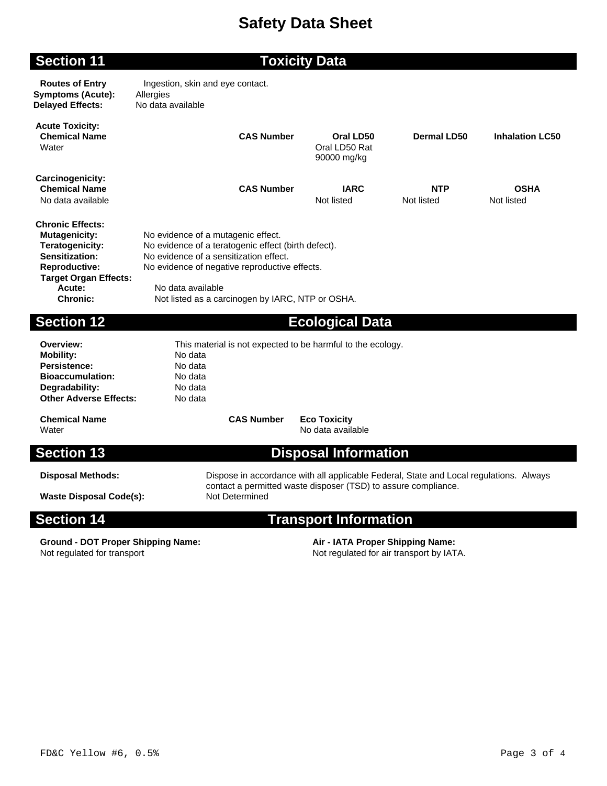### **Section 11 Toxicity Data**

**Routes of Entry** Ingestion, skin and eye contact. **Symptoms (Acute):** Allergies **Delayed Effects:** No data available

| <b>Acute Toxicity:</b><br><b>Chemical Name</b><br>Water                                                                                                                   | <b>CAS Number</b>                                                                                                                                                                                                                                             | Oral LD50<br>Oral LD50 Rat<br>90000 mg/kg | Dermal LD50              | <b>Inhalation LC50</b>    |  |
|---------------------------------------------------------------------------------------------------------------------------------------------------------------------------|---------------------------------------------------------------------------------------------------------------------------------------------------------------------------------------------------------------------------------------------------------------|-------------------------------------------|--------------------------|---------------------------|--|
| Carcinogenicity:<br><b>Chemical Name</b><br>No data available                                                                                                             | <b>CAS Number</b>                                                                                                                                                                                                                                             | <b>IARC</b><br>Not listed                 | <b>NTP</b><br>Not listed | <b>OSHA</b><br>Not listed |  |
| <b>Chronic Effects:</b><br><b>Mutagenicity:</b><br>Teratogenicity:<br>Sensitization:<br><b>Reproductive:</b><br><b>Target Organ Effects:</b><br>Acute:<br><b>Chronic:</b> | No evidence of a mutagenic effect.<br>No evidence of a teratogenic effect (birth defect).<br>No evidence of a sensitization effect.<br>No evidence of negative reproductive effects.<br>No data available<br>Not listed as a carcinogen by IARC, NTP or OSHA. |                                           |                          |                           |  |
| <b>Section 12</b>                                                                                                                                                         |                                                                                                                                                                                                                                                               | <b>Ecological Data</b>                    |                          |                           |  |

**Overview:** This material is not expected to be harmful to the ecology.<br> **Mobility:** No data **Mobility:** No data<br> **Persistence:** No data **Bioaccumulation:** No data **Degradability:** No data **Other Adverse Effects:** No data

**Chemical Name CAS Number Eco Toxicity** Water **No data available** was a set of the set of the set of the set of the set of the set of the set of the set of the set of the set of the set of the set of the set of the set of the set of the set of the set of the set

**Persistence:** 

# **Section 13 Disposal Information**

**Disposal Methods:** Dispose in accordance with all applicable Federal, State and Local regulations. Always contact a permitted waste disposer (TSD) to assure compliance.

**Waste Disposal Code(s):** 

# **Section 14 Transport Information**

**Ground - DOT Proper Shipping Name: Air - IATA Proper Shipping Name:** Not regulated for transport Not regulated for air transport by IATA.